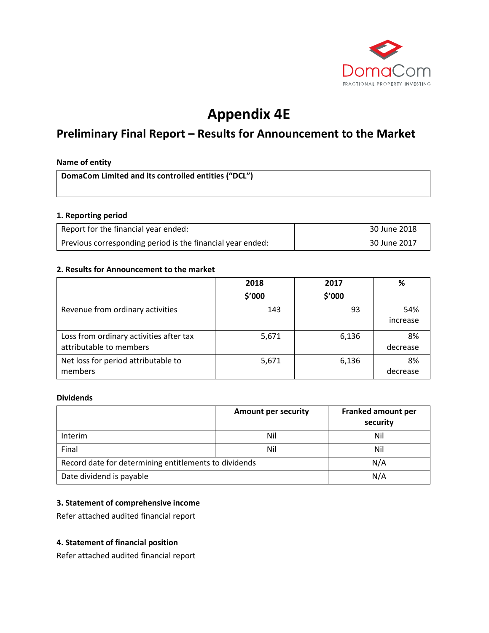

# **Appendix 4E**

## **Preliminary Final Report – Results for Announcement to the Market**

#### **Name of entity**

**DomaCom Limited and its controlled entities ("DCL")**

#### **1. Reporting period**

| Report for the financial year ended:                       | 30 June 2018 |
|------------------------------------------------------------|--------------|
| Previous corresponding period is the financial year ended: | 30 June 2017 |

#### **2. Results for Announcement to the market**

|                                                                    | 2018   | 2017   | %               |
|--------------------------------------------------------------------|--------|--------|-----------------|
|                                                                    | \$′000 | \$′000 |                 |
| Revenue from ordinary activities                                   | 143    | 93     | 54%<br>increase |
| Loss from ordinary activities after tax<br>attributable to members | 5,671  | 6,136  | 8%<br>decrease  |
| Net loss for period attributable to<br>members                     | 5,671  | 6,136  | 8%<br>decrease  |

#### **Dividends**

|                                                       | <b>Amount per security</b> | <b>Franked amount per</b><br>security |
|-------------------------------------------------------|----------------------------|---------------------------------------|
| Interim                                               | Nil                        | Nil                                   |
| Final                                                 | Nil                        | Nil                                   |
| Record date for determining entitlements to dividends |                            | N/A                                   |
| Date dividend is payable                              |                            | N/A                                   |

#### **3. Statement of comprehensive income**

Refer attached audited financial report

#### **4. Statement of financial position**

Refer attached audited financial report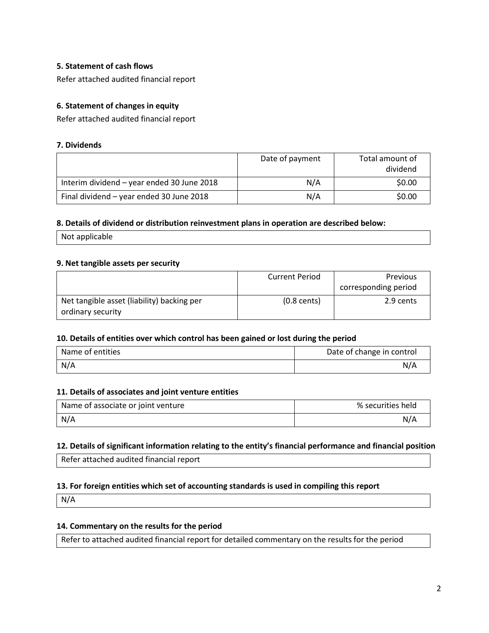#### **5. Statement of cash flows**

Refer attached audited financial report

#### **6. Statement of changes in equity**

Refer attached audited financial report

#### **7. Dividends**

|                                            | Date of payment | Total amount of<br>dividend |
|--------------------------------------------|-----------------|-----------------------------|
| Interim dividend - year ended 30 June 2018 | N/A             | \$0.00                      |
| Final dividend - year ended 30 June 2018   | N/A             | \$0.00                      |

#### **8. Details of dividend or distribution reinvestment plans in operation are described below:**

Not applicable

#### **9. Net tangible assets per security**

|                                            | <b>Current Period</b> | Previous             |
|--------------------------------------------|-----------------------|----------------------|
|                                            |                       | corresponding period |
| Net tangible asset (liability) backing per | $(0.8 \text{ cents})$ | 2.9 cents            |
| ordinary security                          |                       |                      |

#### **10. Details of entities over which control has been gained or lost during the period**

| Name of entities | Date of change in control |
|------------------|---------------------------|
| N/A              | N/A                       |

#### **11. Details of associates and joint venture entities**

| Name of associate or joint venture | % securities held |
|------------------------------------|-------------------|
| N/A                                | N/A               |

#### **12. Details of significant information relating to the entity's financial performance and financial position**

Refer attached audited financial report

#### **13. For foreign entities which set of accounting standards is used in compiling this report**

N/A

### **14. Commentary on the results for the period**

Refer to attached audited financial report for detailed commentary on the results for the period